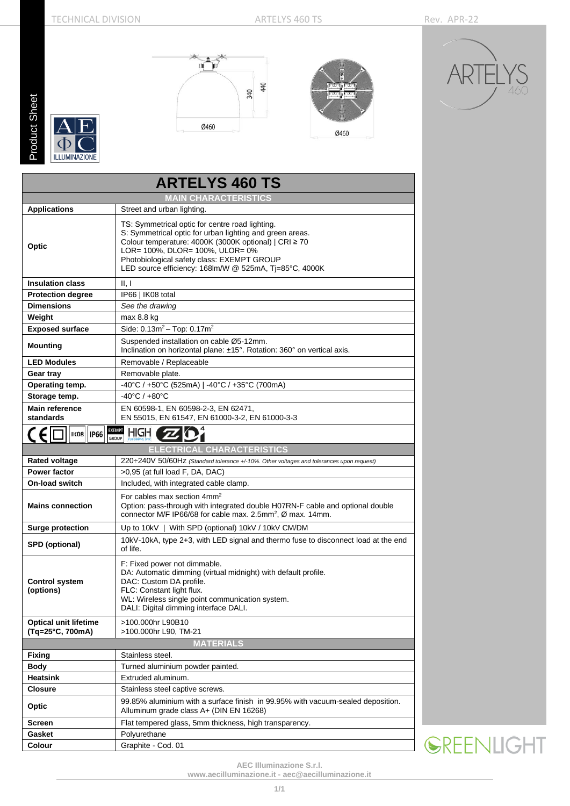Fixing Stainless steel.<br> **Body** Turned alumini

Gasket **Polyurethane** Colour Graphite - Cod. 01

**Heatsink** Extruded aluminum.

**Closure** Stainless steel captive screws.

**Body** Turned aluminium powder painted.

**Screen** Flat tempered glass, 5mm thickness, high transparency.

Alluminum grade class A+ (DIN EN 16268)

**Optic** 99.85% aluminium with a surface finish in 99.95% with vacuum-sealed deposition.

**Product Sheet** Product Sheet

 $\mathsf{C}$ **ILLUMINAZIONE** 



**ARTELYS 460 TS**





|                                                  | <b>MAIN CHARACTERISTICS</b>                                                                                                                                                                                                                                                                                     |
|--------------------------------------------------|-----------------------------------------------------------------------------------------------------------------------------------------------------------------------------------------------------------------------------------------------------------------------------------------------------------------|
| <b>Applications</b>                              | Street and urban lighting.                                                                                                                                                                                                                                                                                      |
| Optic                                            | TS: Symmetrical optic for centre road lighting.<br>S: Symmetrical optic for urban lighting and green areas.<br>Colour temperature: 4000K (3000K optional)   CRI ≥ 70<br>LOR= 100%, DLOR= 100%, ULOR= 0%<br>Photobiological safety class: EXEMPT GROUP<br>LED source efficiency: 168lm/W @ 525mA, Tj=85°C, 4000K |
| <b>Insulation class</b>                          | II, I                                                                                                                                                                                                                                                                                                           |
| <b>Protection degree</b>                         | IP66   IK08 total                                                                                                                                                                                                                                                                                               |
| <b>Dimensions</b>                                | See the drawing                                                                                                                                                                                                                                                                                                 |
| Weight                                           | max 8.8 kg                                                                                                                                                                                                                                                                                                      |
| <b>Exposed surface</b>                           | Side: $0.13m^2 - Top: 0.17m^2$                                                                                                                                                                                                                                                                                  |
| <b>Mounting</b>                                  | Suspended installation on cable Ø5-12mm.<br>Inclination on horizontal plane: ±15°. Rotation: 360° on vertical axis.                                                                                                                                                                                             |
| <b>LED Modules</b>                               | Removable / Replaceable                                                                                                                                                                                                                                                                                         |
| Gear tray                                        | Removable plate.                                                                                                                                                                                                                                                                                                |
| Operating temp.                                  | -40°C / +50°C (525mA)   -40°C / +35°C (700mA)                                                                                                                                                                                                                                                                   |
| Storage temp.                                    | $-40^{\circ}$ C / $+80^{\circ}$ C                                                                                                                                                                                                                                                                               |
| <b>Main reference</b><br>standards               | EN 60598-1, EN 60598-2-3, EN 62471,<br>EN 55015, EN 61547, EN 61000-3-2, EN 61000-3-3                                                                                                                                                                                                                           |
| <b>IK08</b><br><b>IP66</b>                       | EXEMPT<br>HIGH<br><b>GROUP</b>                                                                                                                                                                                                                                                                                  |
|                                                  | <b>ELECTRICAL CHARACTERISTICS</b>                                                                                                                                                                                                                                                                               |
| <b>Rated voltage</b>                             | 220÷240V 50/60Hz (Standard tolerance +/-10%. Other voltages and tolerances upon request)                                                                                                                                                                                                                        |
| <b>Power factor</b>                              | >0,95 (at full load F, DA, DAC)                                                                                                                                                                                                                                                                                 |
| <b>On-load switch</b>                            | Included, with integrated cable clamp.                                                                                                                                                                                                                                                                          |
| <b>Mains connection</b>                          | For cables max section 4mm <sup>2</sup><br>Option: pass-through with integrated double H07RN-F cable and optional double<br>connector M/F IP66/68 for cable max. 2.5mm <sup>2</sup> , Ø max. 14mm.                                                                                                              |
| <b>Surge protection</b>                          | Up to 10kV   With SPD (optional) 10kV / 10kV CM/DM                                                                                                                                                                                                                                                              |
| <b>SPD</b> (optional)                            | 10kV-10kA, type 2+3, with LED signal and thermo fuse to disconnect load at the end<br>of life.                                                                                                                                                                                                                  |
| <b>Control system</b><br>(options)               | F: Fixed power not dimmable.<br>DA: Automatic dimming (virtual midnight) with default profile.<br>DAC: Custom DA profile.<br>FLC: Constant light flux.<br>WL: Wireless single point communication system.<br>DALI: Digital dimming interface DALI.                                                              |
| <b>Optical unit lifetime</b><br>(Tq=25°C, 700mA) | >100.000hr L90B10<br>>100.000hr L90, TM-21                                                                                                                                                                                                                                                                      |
|                                                  | <b>MATERIALS</b>                                                                                                                                                                                                                                                                                                |

**SREENLIGHT** 

**AEC Illuminazione S.r.l.**

**[www.aecilluminazione.it](http://www.aecilluminazione.it/) - [aec@aecilluminazione.it](mailto:aec@aecilluminazione.it)**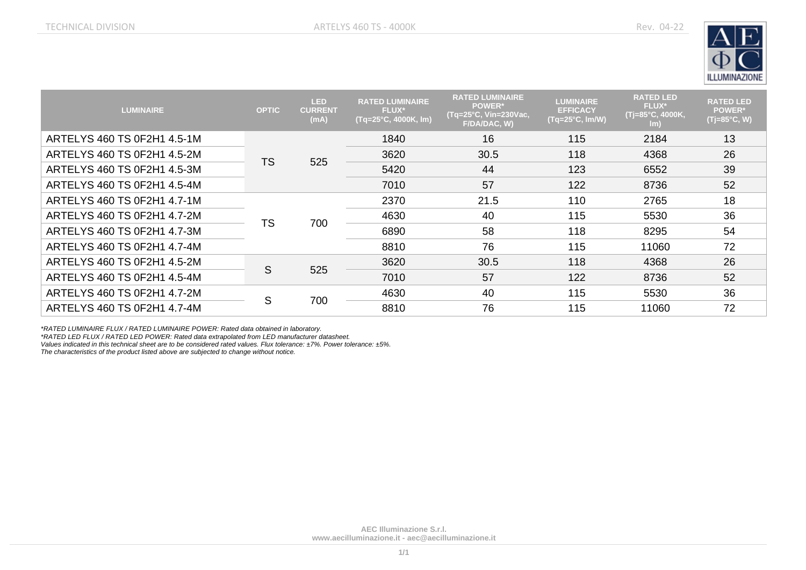

| <b>LUMINAIRE</b>            | <b>OPTIC</b> | <b>LED</b><br><b>CURRENT</b><br>(mA) | <b>RATED LUMINAIRE</b><br><b>FLUX*</b><br>(Tq=25°C, 4000K, lm) | <b>RATED LUMINAIRE</b><br><b>POWER*</b><br>$(Tq=25^{\circ}C, Vin=230$ Vac,<br>F/DA/DAC, W) | <b>LUMINAIRE</b><br><b>EFFICACY</b><br>$(Tq=25^{\circ}C, Im/W)$ | <b>RATED LED</b><br><b>FLUX*</b><br>(Tj=85°C, 4000K,<br>$\mathsf{Im}$ | <b>RATED LED</b><br><b>POWER*</b><br>$(Tj=85\degree C, W)$ |
|-----------------------------|--------------|--------------------------------------|----------------------------------------------------------------|--------------------------------------------------------------------------------------------|-----------------------------------------------------------------|-----------------------------------------------------------------------|------------------------------------------------------------|
| ARTELYS 460 TS 0F2H1 4.5-1M | <b>TS</b>    | 525                                  | 1840                                                           | 16                                                                                         | 115                                                             | 2184                                                                  | 13                                                         |
| ARTELYS 460 TS 0F2H1 4.5-2M |              |                                      | 3620                                                           | 30.5                                                                                       | 118                                                             | 4368                                                                  | 26                                                         |
| ARTELYS 460 TS 0F2H1 4.5-3M |              |                                      | 5420                                                           | 44                                                                                         | 123                                                             | 6552                                                                  | 39                                                         |
| ARTELYS 460 TS 0F2H1 4.5-4M |              |                                      | 7010                                                           | 57                                                                                         | 122                                                             | 8736                                                                  | 52                                                         |
| ARTELYS 460 TS 0F2H1 4.7-1M |              | 700                                  | 2370                                                           | 21.5                                                                                       | 110                                                             | 2765                                                                  | 18                                                         |
| ARTELYS 460 TS 0F2H1 4.7-2M | <b>TS</b>    |                                      | 4630                                                           | 40                                                                                         | 115                                                             | 5530                                                                  | 36                                                         |
| ARTELYS 460 TS 0F2H1 4.7-3M |              |                                      | 6890                                                           | 58                                                                                         | 118                                                             | 8295                                                                  | 54                                                         |
| ARTELYS 460 TS 0F2H1 4.7-4M |              |                                      | 8810                                                           | 76                                                                                         | 115                                                             | 11060                                                                 | 72                                                         |
| ARTELYS 460 TS 0F2H1 4.5-2M | S            | 525                                  | 3620                                                           | 30.5                                                                                       | 118                                                             | 4368                                                                  | 26                                                         |
| ARTELYS 460 TS 0F2H1 4.5-4M |              |                                      | 7010                                                           | 57                                                                                         | 122                                                             | 8736                                                                  | 52                                                         |
| ARTELYS 460 TS 0F2H1 4.7-2M | S            | 700                                  | 4630                                                           | 40                                                                                         | 115                                                             | 5530                                                                  | 36                                                         |
| ARTELYS 460 TS 0F2H1 4.7-4M |              |                                      | 8810                                                           | 76                                                                                         | 115                                                             | 11060                                                                 | 72                                                         |

*\*RATED LUMINAIRE FLUX / RATED LUMINAIRE POWER: Rated data obtained in laboratory.*

*\*RATED LED FLUX / RATED LED POWER: Rated data extrapolated from LED manufacturer datasheet.*

*Values indicated in this technical sheet are to be considered rated values. Flux tolerance: ±7%. Power tolerance: ±5%.*

*The characteristics of the product listed above are subjected to change without notice.*